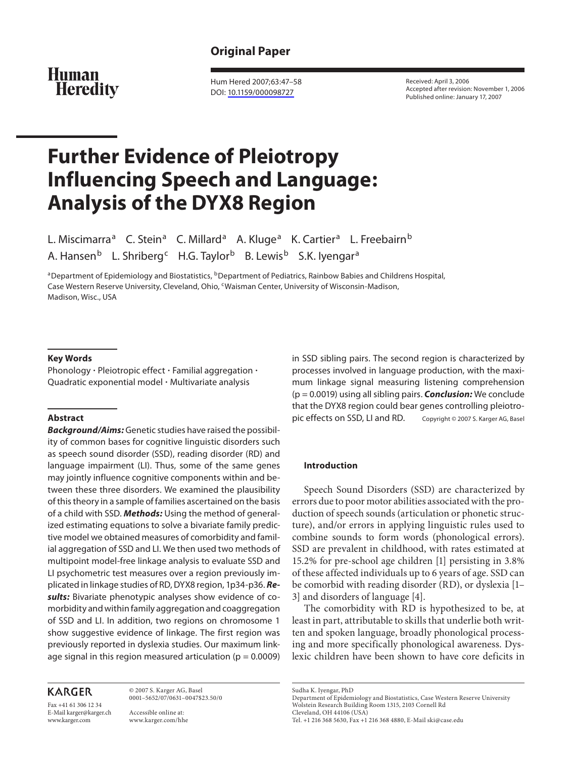# **Original Paper**

# **Human Heredity**

 Hum Hered 2007;63:47–58 DOI: [10.1159/000098727](http://dx.doi.org/10.1159%2F000098727)

 Received: April 3, 2006 Accepted after revision: November 1, 2006 Published online: January 17, 2007

# **Further Evidence of Pleiotropy Influencing Speech and Language: Analysis of the DYX8 Region**

L. Miscimarra<sup>a</sup> C. Stein<sup>a</sup> C. Millard<sup>a</sup> A. Kluge<sup>a</sup> K. Cartier<sup>a</sup> L. Freebairn<sup>b</sup> A. Hansen<sup>b</sup> L. Shriberg<sup>c</sup> H.G. Taylor<sup>b</sup> B. Lewis<sup>b</sup> S.K. Iyengar<sup>a</sup>

<sup>a</sup> Department of Epidemiology and Biostatistics, <sup>b</sup> Department of Pediatrics, Rainbow Babies and Childrens Hospital, Case Western Reserve University, Cleveland, Ohio, <sup>c</sup>Waisman Center, University of Wisconsin-Madison, Madison, Wisc., USA

#### **Key Words**

Phonology  $\cdot$  Pleiotropic effect  $\cdot$  Familial aggregation  $\cdot$ Quadratic exponential model  $\cdot$  Multivariate analysis

#### **Abstract**

 *Background/Aims:* Genetic studies have raised the possibility of common bases for cognitive linguistic disorders such as speech sound disorder (SSD), reading disorder (RD) and language impairment (LI). Thus, some of the same genes may jointly influence cognitive components within and between these three disorders. We examined the plausibility of this theory in a sample of families ascertained on the basis of a child with SSD. *Methods:* Using the method of generalized estimating equations to solve a bivariate family predictive model we obtained measures of comorbidity and familial aggregation of SSD and LI. We then used two methods of multipoint model-free linkage analysis to evaluate SSD and LI psychometric test measures over a region previously implicated in linkage studies of RD, DYX8 region, 1p34-p36. *Results:* Bivariate phenotypic analyses show evidence of comorbidity and within family aggregation and coaggregation of SSD and LI. In addition, two regions on chromosome 1 show suggestive evidence of linkage. The first region was previously reported in dyslexia studies. Our maximum linkage signal in this region measured articulation ( $p = 0.0009$ )

# **KARGER**

Fax +41 61 306 12 34 E-Mail karger@karger.ch www.karger.com

 © 2007 S. Karger AG, Basel 0001–5652/07/0631–0047\$23.50/0

 Accessible online at: www.karger.com/hhe in SSD sibling pairs. The second region is characterized by processes involved in language production, with the maximum linkage signal measuring listening comprehension (p = 0.0019) using all sibling pairs. *Conclusion:* We conclude that the DYX8 region could bear genes controlling pleiotropic effects on SSD, LI and RD. Copyright © 2007 S. Karger AG, Basel

#### **Introduction**

 Speech Sound Disorders (SSD) are characterized by errors due to poor motor abilities associated with the production of speech sounds (articulation or phonetic structure), and/or errors in applying linguistic rules used to combine sounds to form words (phonological errors). SSD are prevalent in childhood, with rates estimated at 15.2% for pre-school age children [1] persisting in 3.8% of these affected individuals up to 6 years of age. SSD can be comorbid with reading disorder (RD), or dyslexia [1– 3] and disorders of language [4] .

 The comorbidity with RD is hypothesized to be, at least in part, attributable to skills that underlie both written and spoken language, broadly phonological processing and more specifically phonological awareness. Dyslexic children have been shown to have core deficits in

 Sudha K. Iyengar, PhD Department of Epidemiology and Biostatistics, Case Western Reserve University Wolstein Research Building Room 1315, 2103 Cornell Rd Cleveland, OH 44106 (USA) Tel. +1 216 368 5630, Fax +1 216 368 4880, E-Mail ski@case.edu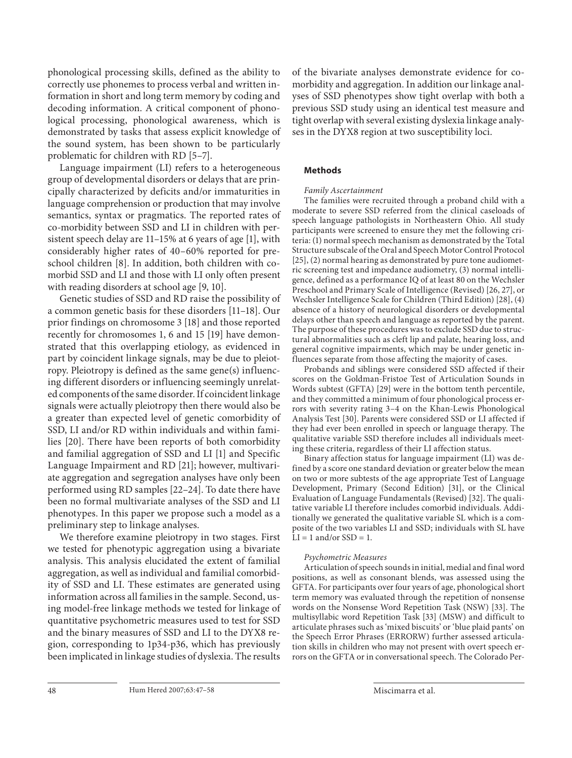phonological processing skills, defined as the ability to correctly use phonemes to process verbal and written information in short and long term memory by coding and decoding information. A critical component of phonological processing, phonological awareness, which is demonstrated by tasks that assess explicit knowledge of the sound system, has been shown to be particularly problematic for children with RD [5–7] .

 Language impairment (LI) refers to a heterogeneous group of developmental disorders or delays that are principally characterized by deficits and/or immaturities in language comprehension or production that may involve semantics, syntax or pragmatics. The reported rates of co-morbidity between SSD and LI in children with persistent speech delay are  $11-15\%$  at 6 years of age [1], with considerably higher rates of 40–60% reported for preschool children [8]. In addition, both children with comorbid SSD and LI and those with LI only often present with reading disorders at school age [9, 10].

 Genetic studies of SSD and RD raise the possibility of a common genetic basis for these disorders [11–18] . Our prior findings on chromosome 3 [18] and those reported recently for chromosomes 1, 6 and 15 [19] have demonstrated that this overlapping etiology, as evidenced in part by coincident linkage signals, may be due to pleiotropy. Pleiotropy is defined as the same gene(s) influencing different disorders or influencing seemingly unrelated components of the same disorder. If coincident linkage signals were actually pleiotropy then there would also be a greater than expected level of genetic comorbidity of SSD, LI and/or RD within individuals and within families [20]. There have been reports of both comorbidity and familial aggregation of SSD and LI [1] and Specific Language Impairment and RD [21]; however, multivariate aggregation and segregation analyses have only been performed using RD samples [22–24] . To date there have been no formal multivariate analyses of the SSD and LI phenotypes. In this paper we propose such a model as a preliminary step to linkage analyses.

 We therefore examine pleiotropy in two stages. First we tested for phenotypic aggregation using a bivariate analysis. This analysis elucidated the extent of familial aggregation, as well as individual and familial comorbidity of SSD and LI. These estimates are generated using information across all families in the sample. Second, using model-free linkage methods we tested for linkage of quantitative psychometric measures used to test for SSD and the binary measures of SSD and LI to the DYX8 region, corresponding to 1p34-p36, which has previously been implicated in linkage studies of dyslexia. The results

of the bivariate analyses demonstrate evidence for comorbidity and aggregation. In addition our linkage analyses of SSD phenotypes show tight overlap with both a previous SSD study using an identical test measure and tight overlap with several existing dyslexia linkage analyses in the DYX8 region at two susceptibility loci.

#### **Methods**

#### *Family Ascertainment*

 The families were recruited through a proband child with a moderate to severe SSD referred from the clinical caseloads of speech language pathologists in Northeastern Ohio. All study participants were screened to ensure they met the following criteria: (1) normal speech mechanism as demonstrated by the Total Structure subscale of the Oral and Speech Motor Control Protocol [25], (2) normal hearing as demonstrated by pure tone audiometric screening test and impedance audiometry, (3) normal intelligence, defined as a performance IQ of at least 80 on the Wechsler Preschool and Primary Scale of Intelligence (Revised) [26, 27] , or Wechsler Intelligence Scale for Children (Third Edition) [28] , (4) absence of a history of neurological disorders or developmental delays other than speech and language as reported by the parent. The purpose of these procedures was to exclude SSD due to structural abnormalities such as cleft lip and palate, hearing loss, and general cognitive impairments, which may be under genetic influences separate from those affecting the majority of cases.

 Probands and siblings were considered SSD affected if their scores on the Goldman-Fristoe Test of Articulation Sounds in Words subtest (GFTA) [29] were in the bottom tenth percentile, and they committed a minimum of four phonological process errors with severity rating 3–4 on the Khan-Lewis Phonological Analysis Test [30]. Parents were considered SSD or LI affected if they had ever been enrolled in speech or language therapy. The qualitative variable SSD therefore includes all individuals meeting these criteria, regardless of their LI affection status.

 Binary affection status for language impairment (LI) was defined by a score one standard deviation or greater below the mean on two or more subtests of the age appropriate Test of Language Development, Primary (Second Edition) [31], or the Clinical Evaluation of Language Fundamentals (Revised) [32] . The qualitative variable LI therefore includes comorbid individuals. Additionally we generated the qualitative variable SL which is a composite of the two variables LI and SSD; individuals with SL have  $LI = 1$  and/or  $SSD = 1$ .

#### *Psychometric Measures*

 Articulation of speech sounds in initial, medial and final word positions, as well as consonant blends, was assessed using the GFTA. For participants over four years of age, phonological short term memory was evaluated through the repetition of nonsense words on the Nonsense Word Repetition Task (NSW) [33] . The multisyllabic word Repetition Task [33] (MSW) and difficult to articulate phrases such as 'mixed biscuits' or 'blue plaid pants' on the Speech Error Phrases (ERRORW) further assessed articulation skills in children who may not present with overt speech errors on the GFTA or in conversational speech. The Colorado Per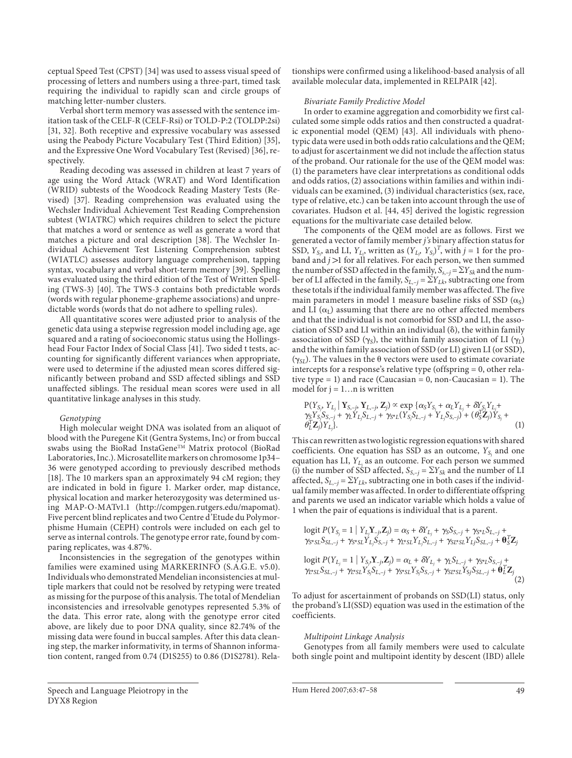ceptual Speed Test (CPST) [34] was used to assess visual speed of processing of letters and numbers using a three-part, timed task requiring the individual to rapidly scan and circle groups of matching letter-number clusters.

 Verbal short term memory was assessed with the sentence imitation task of the CELF-R (CELF-Rsi) or TOLD-P:2 (TOLDP:2si) [31, 32]. Both receptive and expressive vocabulary was assessed using the Peabody Picture Vocabulary Test (Third Edition) [35] , and the Expressive One Word Vocabulary Test (Revised) [36] , respectively.

 Reading decoding was assessed in children at least 7 years of age using the Word Attack (WRAT) and Word Identification (WRID) subtests of the Woodcock Reading Mastery Tests (Revised) [37]. Reading comprehension was evaluated using the Wechsler Individual Achievement Test Reading Comprehension subtest (WIATRC) which requires children to select the picture that matches a word or sentence as well as generate a word that matches a picture and oral description [38]. The Wechsler Individual Achievement Test Listening Comprehension subtest (WIATLC) assesses auditory language comprehenison, tapping syntax, vocabulary and verbal short-term memory [39]. Spelling was evaluated using the third edition of the Test of Written Spelling (TWS-3) [40]. The TWS-3 contains both predictable words (words with regular phoneme-grapheme associations) and unpredictable words (words that do not adhere to spelling rules).

 All quantitative scores were adjusted prior to analysis of the genetic data using a stepwise regression model including age, age squared and a rating of socioeconomic status using the Hollingshead Four Factor Index of Social Class [41] . Two sided t tests, accounting for significantly different variances when appropriate, were used to determine if the adjusted mean scores differed significantly between proband and SSD affected siblings and SSD unaffected siblings. The residual mean scores were used in all quantitative linkage analyses in this study.

#### *Genotyping*

 High molecular weight DNA was isolated from an aliquot of blood with the Puregene Kit (Gentra Systems, Inc) or from buccal swabs using the BioRad InstaGene<sup>TM</sup> Matrix protocol (BioRad Laboratories, Inc.). Microsatellite markers on chromosome 1p34– 36 were genotyped according to previously described methods [18]. The 10 markers span an approximately 94 cM region; they are indicated in bold in figure 1. Marker order, map distance, physical location and marker heterozygosity was determined using MAP-O-MATv1.1 (http://compgen.rutgers.edu/mapomat). Five percent blind replicates and two Centre d'Etude du Polymorphisme Humain (CEPH) controls were included on each gel to serve as internal controls. The genotype error rate, found by comparing replicates, was 4.87%.

 Inconsistencies in the segregation of the genotypes within families were examined using MARKERINFO (S.A.G.E. v5.0). Individuals who demonstrated Mendelian inconsistencies at multiple markers that could not be resolved by retyping were treated as missing for the purpose of this analysis. The total of Mendelian inconsistencies and irresolvable genotypes represented 5.3% of the data. This error rate, along with the genotype error cited above, are likely due to poor DNA quality, since 82.74% of the missing data were found in buccal samples. After this data cleaning step, the marker informativity, in terms of Shannon information content, ranged from 0.74 (D1S255) to 0.86 (D1S2781). Relationships were confirmed using a likelihood-based analysis of all available molecular data, implemented in RELPAIR [42] .

#### *Bivariate Family Predictive Model*

 In order to examine aggregation and comorbidity we first calculated some simple odds ratios and then constructed a quadratic exponential model (QEM) [43]. All individuals with phenotypic data were used in both odds ratio calculations and the QEM; to adjust for ascertainment we did not include the affection status of the proband. Our rationale for the use of the QEM model was: (1) the parameters have clear interpretations as conditional odds and odds ratios, (2) associations within families and within individuals can be examined, (3) individual characteristics (sex, race, type of relative, etc.) can be taken into account through the use of covariates. Hudson et al. [44, 45] derived the logistic regression equations for the multivariate case detailed below.

 The components of the QEM model are as follows. First we generated a vector of family member *j's* binary affection status for SSD,  $Y_{S_i}$  and LI,  $Y_{L_i}$ , written as  $(Y_{L_i}, Y_{S_i})^T$ , with  $j = 1$  for the proband and  $j$  >1 for all relatives. For each person, we then summed the number of SSD affected in the family,  $S_{s,-j} = \sum Y_{Sk}$  and the number of LI affected in the family,  $S_{L,-j} = \Sigma Y_{L,k}$ , subtracting one from these totals if the individual family member was affected. The five main parameters in model 1 measure baseline risks of SSD  $(\alpha_S)$ and LI  $(\alpha_{\rm L})$  assuming that there are no other affected members and that the individual is not comorbid for SSD and LI, the association of SSD and LI within an individual  $(\delta)$ , the within family association of SSD  $(\gamma_S)$ , the within family association of LI  $(\gamma_I)$ and the within family association of SSD (or LI) given LI (or SSD), ( $\gamma_{SL}$ ). The values in the  $\theta$  vectors were used to estimate covariate intercepts for a response's relative type (offspring = 0, other relative type  $= 1$ ) and race (Caucasian  $= 0$ , non-Caucasian  $= 1$ ). The model for  $j = 1...n$  is written

$$
P(Y_{S_j}, Y_{L_j} | Y_{S,-j}, Y_{L,-j}, Z_j) \propto \exp \{ \alpha_S Y_{S_j} + \alpha_L Y_{L_j} + \delta Y_{S_j} Y_{L_j} + \gamma_S Y_{S_j} S_{S,-j} + \gamma_L Y_{L_j} S_{L,-j} + \gamma_{S^*L} (Y_{S_j} S_{L,-j} + Y_{L_j} S_{S,-j}) + (\theta_S^T Z_j) Y_{S_j} + \theta_L^T Z_j) Y_{L_j} \}.
$$
\n(1)

 This can rewritten as two logistic regression equations with shared coefficients. One equation has SSD as an outcome,  $Y_{S_i}$  and one equation has LI,  $Y_{L_i}$  as an outcome. For each person we summed (i) the number of SSD affected,  $S_{S,-i} = \sum Y_{Sk}$  and the number of LI affected,  $S_{L, -i} = \sum Y_{L,k}$ , subtracting one in both cases if the individual family member was affected. In order to differentiate offspring and parents we used an indicator variable which holds a value of 1 when the pair of equations is individual that is a parent.

logit 
$$
P(Y_{S_j} = 1 | Y_{L_j} Y_{-j}, Z_j) = \alpha_S + \delta Y_{L_j} + \gamma_S S_{S, -j} + \gamma_{S^* L} S_{L, -j} + \gamma_{S^* S L} S_{S L, -j} + \gamma_{S^* S L} Y_{L_j} S_{S, -j} + \gamma_{L^* S L} Y_{L_j} S_{L, -j} + \gamma_{S^* S L} Y_{L_j} S_{S L, -j} + \theta_S^T Z_j
$$

$$
\text{logit } P(Y_{L_j} = 1 \mid Y_{S_j}, \mathbf{Y}_{-j}, \mathbf{Z}_j) = \alpha_L + \delta Y_{L_j} + \gamma_L S_{L, -j} + \gamma_{S^* L} S_{S, -j} + \gamma_{L^* S L} S_{S L, -j} + \gamma_{L^* S L} Y_{S_j} S_{L, -j} + \gamma_{S^* S L} Y_{S_j} S_{S, -j} + \gamma_{S L^* S L} Y_{S_j} S_{S L, -j} + \mathbf{\Theta}_L^T \mathbf{Z}_j
$$
\n(2)

 To adjust for ascertainment of probands on SSD(LI) status, only the proband's LI(SSD) equation was used in the estimation of the coefficients.

#### *Multipoint Linkage Analysis*

 Genotypes from all family members were used to calculate both single point and multipoint identity by descent (IBD) allele

Speech and Language Pleiotropy in the DYX8 Region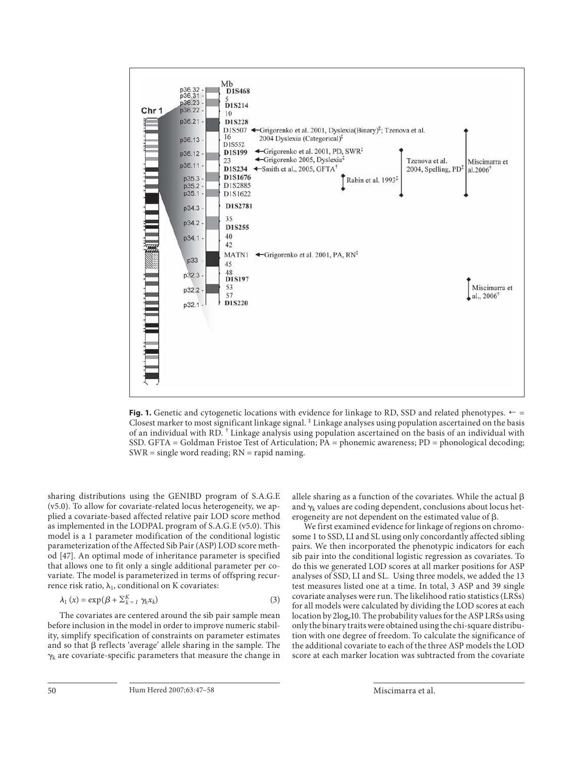

**Fig. 1.** Genetic and cytogenetic locations with evidence for linkage to RD, SSD and related phenotypes.  $\leftarrow$  = Closest marker to most significant linkage signal. ‡ Linkage analyses using population ascertained on the basis of an individual with RD. † Linkage analysis using population ascertained on the basis of an individual with SSD. GFTA = Goldman Fristoe Test of Articulation; PA = phonemic awareness; PD = phonological decoding;  $SWR = single word reading; RN = rapid naming.$ 

sharing distributions using the GENIBD program of S.A.G.E (v5.0). To allow for covariate-related locus heterogeneity, we applied a covariate-based affected relative pair LOD score method as implemented in the LODPAL program of S.A.G.E (v5.0). This model is a 1 parameter modification of the conditional logistic parameterization of the Affected Sib Pair (ASP) LOD score method [47]. An optimal mode of inheritance parameter is specified that allows one to fit only a single additional parameter per covariate. The model is parameterized in terms of offspring recurrence risk ratio,  $\lambda_1$ , conditional on K covariates:

$$
\lambda_1(x) = \exp(\beta + \sum_{k=1}^K \gamma_k x_k)
$$
\n(3)

 The covariates are centered around the sib pair sample mean before inclusion in the model in order to improve numeric stability, simplify specification of constraints on parameter estimates and so that  $\beta$  reflects 'average' allele sharing in the sample. The  $\gamma_k$  are covariate-specific parameters that measure the change in allele sharing as a function of the covariates. While the actual  $\beta$ and  $\gamma_k$  values are coding dependent, conclusions about locus heterogeneity are not dependent on the estimated value of  $\beta$ .

 We first examined evidence for linkage of regions on chromosome 1 to SSD, LI and SL using only concordantly affected sibling pairs. We then incorporated the phenotypic indicators for each sib pair into the conditional logistic regression as covariates. To do this we generated LOD scores at all marker positions for ASP analyses of SSD, LI and SL. Using three models, we added the 13 test measures listed one at a time. In total, 3 ASP and 39 single covariate analyses were run. The likelihood ratio statistics (LRSs) for all models were calculated by dividing the LOD scores at each location by  $2\log_e 10$ . The probability values for the ASP LRSs using only the binary traits were obtained using the chi-square distribution with one degree of freedom. To calculate the significance of the additional covariate to each of the three ASP models the LOD score at each marker location was subtracted from the covariate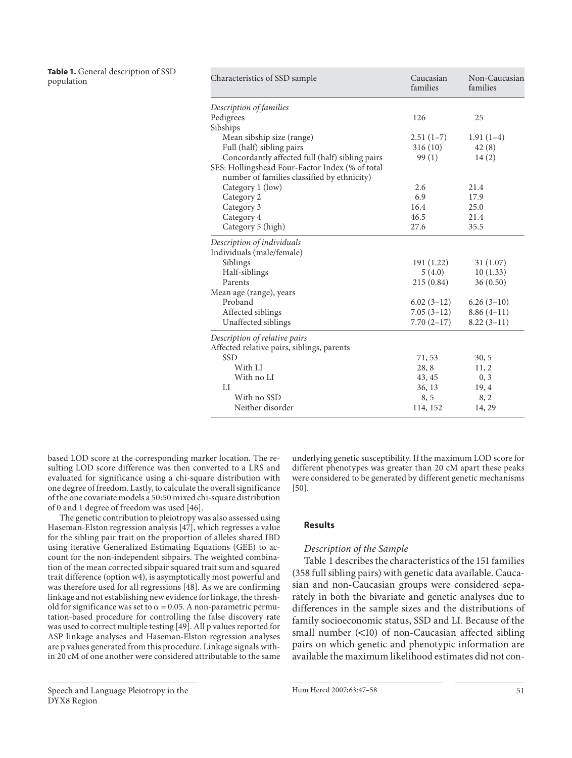**Table 1.** General description of SSD population

| Characteristics of SSD sample                   | Caucasian<br>families | Non-Caucasian<br>families |
|-------------------------------------------------|-----------------------|---------------------------|
| Description of families                         |                       |                           |
| Pedigrees                                       | 126                   | 25                        |
| Sibships                                        |                       |                           |
| Mean sibship size (range)                       | $2.51(1-7)$           | $1.91(1-4)$               |
| Full (half) sibling pairs                       | 316(10)               | 42(8)                     |
| Concordantly affected full (half) sibling pairs | 99(1)                 | 14(2)                     |
| SES: Hollingshead Four-Factor Index (% of total |                       |                           |
| number of families classified by ethnicity)     |                       |                           |
| Category 1 (low)                                | 2.6                   | 21.4                      |
| Category 2                                      | 6.9                   | 17.9                      |
| Category 3                                      | 16.4                  | 25.0                      |
| Category 4                                      | 46.5                  | 21.4                      |
| Category 5 (high)                               | 27.6                  | 35.5                      |
| Description of individuals                      |                       |                           |
| Individuals (male/female)                       |                       |                           |
| Siblings                                        | 191 (1.22)            | 31(1.07)                  |
| Half-siblings                                   | 5(4.0)                | 10(1.33)                  |
| Parents                                         | 215(0.84)             | 36(0.50)                  |
| Mean age (range), years                         |                       |                           |
| Proband                                         | $6.02(3-12)$          | $6.26(3-10)$              |
| Affected siblings                               | $7.05(3-12)$          | $8.86(4-11)$              |
| Unaffected siblings                             | $7.70(2-17)$          | $8.22(3-11)$              |
| Description of relative pairs                   |                       |                           |
| Affected relative pairs, siblings, parents      |                       |                           |
| <b>SSD</b>                                      | 71,53                 | 30, 5                     |
| With LI                                         | 28,8                  | 11, 2                     |
| With no LI                                      | 43, 45                | 0, 3                      |
| LI                                              | 36, 13                | 19, 4                     |
| With no SSD                                     | 8,5                   | 8, 2                      |
| Neither disorder                                | 114, 152              | 14, 29                    |

based LOD score at the corresponding marker location. The resulting LOD score difference was then converted to a LRS and evaluated for significance using a chi-square distribution with one degree of freedom. Lastly, to calculate the overall significance of the one covariate models a 50: 50 mixed chi-square distribution of 0 and 1 degree of freedom was used [46] .

 The genetic contribution to pleiotropy was also assessed using Haseman-Elston regression analysis [47] , which regresses a value for the sibling pair trait on the proportion of alleles shared IBD using iterative Generalized Estimating Equations (GEE) to account for the non-independent sibpairs. The weighted combination of the mean corrected sibpair squared trait sum and squared trait difference (option w4), is asymptotically most powerful and was therefore used for all regressions [48] . As we are confirming linkage and not establishing new evidence for linkage, the threshold for significance was set to  $\alpha$  = 0.05. A non-parametric permutation-based procedure for controlling the false discovery rate was used to correct multiple testing [49] . All p values reported for ASP linkage analyses and Haseman-Elston regression analyses are p values generated from this procedure. Linkage signals within 20 cM of one another were considered attributable to the same underlying genetic susceptibility. If the maximum LOD score for different phenotypes was greater than 20 cM apart these peaks were considered to be generated by different genetic mechanisms  $[50]$ .

# **Results**

# *Description of the Sample*

 Table 1 describes the characteristics of the 151 families (358 full sibling pairs) with genetic data available. Caucasian and non-Caucasian groups were considered separately in both the bivariate and genetic analyses due to differences in the sample sizes and the distributions of family socioeconomic status, SSD and LI. Because of the small number  $(<10$ ) of non-Caucasian affected sibling pairs on which genetic and phenotypic information are available the maximum likelihood estimates did not con-

Hum Hered 2007;63:47–58 51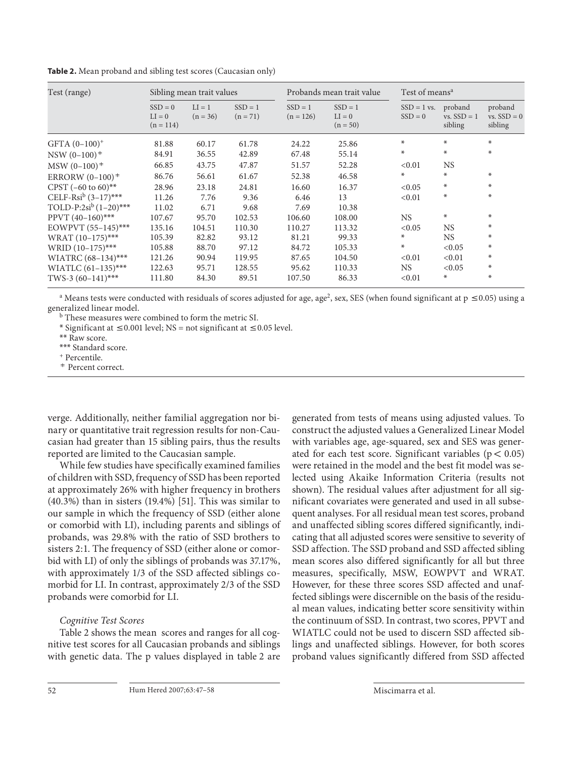**Table 2.** Mean proband and sibling test scores (Caucasian only)

| Test (range)                         | Sibling mean trait values            |                        |                         | Probands mean trait value |                                     | Test of means <sup>a</sup> |                                     |                                     |
|--------------------------------------|--------------------------------------|------------------------|-------------------------|---------------------------|-------------------------------------|----------------------------|-------------------------------------|-------------------------------------|
|                                      | $SSD = 0$<br>$LI = 0$<br>$(n = 114)$ | $LI = 1$<br>$(n = 36)$ | $SSD = 1$<br>$(n = 71)$ | $SSD = 1$<br>$(n = 126)$  | $SSD = 1$<br>$LI = 0$<br>$(n = 50)$ | $SSD = 1$ vs.<br>$SSD = 0$ | proband<br>$vs.$ SSD = 1<br>sibling | proband<br>$vs.$ SSD = 0<br>sibling |
| $GFTA (0-100)^+$                     | 81.88                                | 60.17                  | 61.78                   | 24.22                     | 25.86                               | $\ast$                     | ∗                                   | *                                   |
| $NSW (0-100)^+$                      | 84.91                                | 36.55                  | 42.89                   | 67.48                     | 55.14                               | $\ast$                     | ∗                                   | ₩                                   |
| $MSW (0-100)^+$                      | 66.85                                | 43.75                  | 47.87                   | 51.57                     | 52.28                               | < 0.01                     | <b>NS</b>                           |                                     |
| ERRORW $(0-100)^+$                   | 86.76                                | 56.61                  | 61.67                   | 52.38                     | 46.58                               | $*$                        | $\ast$                              | ₩                                   |
| CPST $(-60 \text{ to } 60)$ **       | 28.96                                | 23.18                  | 24.81                   | 16.60                     | 16.37                               | < 0.05                     | ∗                                   | *                                   |
| CELF-Rsi <sup>b</sup> $(3-17)$ ***   | 11.26                                | 7.76                   | 9.36                    | 6.46                      | 13                                  | < 0.01                     | ∗                                   | ₩                                   |
| TOLD-P:2si <sup>b</sup> $(1-20)$ *** | 11.02                                | 6.71                   | 9.68                    | 7.69                      | 10.38                               |                            |                                     |                                     |
| PPVT $(40-160)$ ***                  | 107.67                               | 95.70                  | 102.53                  | 106.60                    | 108.00                              | <b>NS</b>                  | ∗                                   | ₩                                   |
| EOWPVT (55-145)***                   | 135.16                               | 104.51                 | 110.30                  | 110.27                    | 113.32                              | < 0.05                     | <b>NS</b>                           | $\ast$                              |
| WRAT $(10-175)$ ***                  | 105.39                               | 82.82                  | 93.12                   | 81.21                     | 99.33                               | $\ast$                     | NS.                                 | $\ast$                              |
| WRID (10-175)***                     | 105.88                               | 88.70                  | 97.12                   | 84.72                     | 105.33                              | $\ast$                     | < 0.05                              | ₩                                   |
| WIATRC $(68-134)$ ***                | 121.26                               | 90.94                  | 119.95                  | 87.65                     | 104.50                              | < 0.01                     | < 0.01                              | $\ast$                              |
| WIATLC $(61-135)$ ***                | 122.63                               | 95.71                  | 128.55                  | 95.62                     | 110.33                              | <b>NS</b>                  | < 0.05                              | ⋇                                   |
| TWS-3 $(60-141)$ ***                 | 111.80                               | 84.30                  | 89.51                   | 107.50                    | 86.33                               | < 0.01                     | ∗                                   | ⋇                                   |

<sup>a</sup> Means tests were conducted with residuals of scores adjusted for age, age<sup>2</sup>, sex, SES (when found significant at p  $\leq$  0.05) using a generalized linear model.

b These measures were combined to form the metric SI.

\* Significant at  $\leq$  0.001 level; NS = not significant at  $\leq$  0.05 level.

\*\* Raw score.

\*\*\* Standard score. + Percentile.

<sup>7</sup> Percent correct.

verge. Additionally, neither familial aggregation nor binary or quantitative trait regression results for non-Caucasian had greater than 15 sibling pairs, thus the results reported are limited to the Caucasian sample.

 While few studies have specifically examined families of children with SSD, frequency of SSD has been reported at approximately 26% with higher frequency in brothers  $(40.3\%)$  than in sisters  $(19.4\%)$  [51]. This was similar to our sample in which the frequency of SSD (either alone or comorbid with LI), including parents and siblings of probands, was 29.8% with the ratio of SSD brothers to sisters 2:1. The frequency of SSD (either alone or comorbid with LI) of only the siblings of probands was 37.17%, with approximately 1/3 of the SSD affected siblings comorbid for LI. In contrast, approximately 2/3 of the SSD probands were comorbid for LI.

# *Cognitive Test Scores*

 Table 2 shows the mean scores and ranges for all cognitive test scores for all Caucasian probands and siblings with genetic data. The p values displayed in table 2 are generated from tests of means using adjusted values. To construct the adjusted values a Generalized Linear Model with variables age, age-squared, sex and SES was generated for each test score. Significant variables ( $p < 0.05$ ) were retained in the model and the best fit model was selected using Akaike Information Criteria (results not shown). The residual values after adjustment for all significant covariates were generated and used in all subsequent analyses. For all residual mean test scores, proband and unaffected sibling scores differed significantly, indicating that all adjusted scores were sensitive to severity of SSD affection. The SSD proband and SSD affected sibling mean scores also differed significantly for all but three measures, specifically, MSW, EOWPVT and WRAT. However, for these three scores SSD affected and unaffected siblings were discernible on the basis of the residual mean values, indicating better score sensitivity within the continuum of SSD. In contrast, two scores, PPVT and WIATLC could not be used to discern SSD affected siblings and unaffected siblings. However, for both scores proband values significantly differed from SSD affected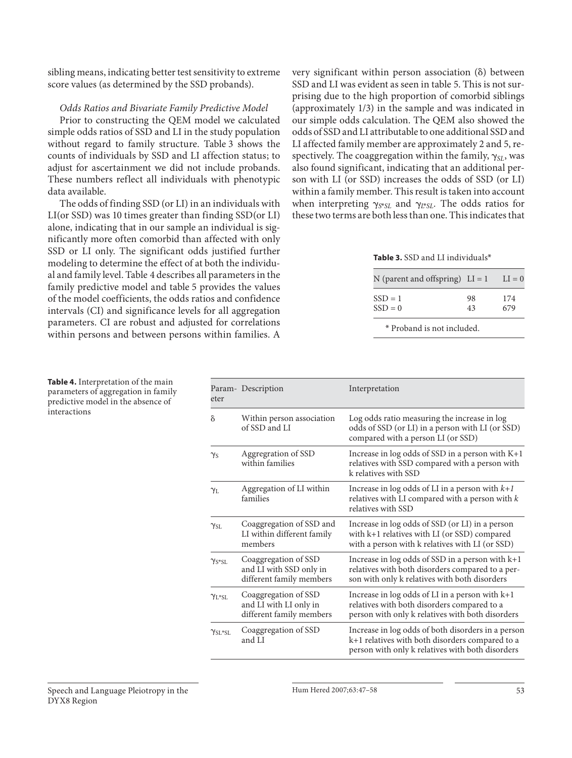sibling means, indicating better test sensitivity to extreme score values (as determined by the SSD probands).

# *Odds Ratios and Bivariate Family Predictive Model*

 Prior to constructing the QEM model we calculated simple odds ratios of SSD and LI in the study population without regard to family structure. Table 3 shows the counts of individuals by SSD and LI affection status; to adjust for ascertainment we did not include probands. These numbers reflect all individuals with phenotypic data available.

 The odds of finding SSD (or LI) in an individuals with LI(or SSD) was 10 times greater than finding SSD(or LI) alone, indicating that in our sample an individual is significantly more often comorbid than affected with only SSD or LI only. The significant odds justified further modeling to determine the effect of at both the individual and family level. Table 4 describes all parameters in the family predictive model and table 5 provides the values of the model coefficients, the odds ratios and confidence intervals (CI) and significance levels for all aggregation parameters. CI are robust and adjusted for correlations within persons and between persons within families. A

very significant within person association (8) between SSD and LI was evident as seen in table 5. This is not surprising due to the high proportion of comorbid siblings (approximately 1/3) in the sample and was indicated in our simple odds calculation. The QEM also showed the odds of SSD and LI attributable to one additional SSD and LI affected family member are approximately 2 and 5, respectively. The coaggregation within the family,  $\gamma_{SL}$ , was also found significant, indicating that an additional person with LI (or SSD) increases the odds of SSD (or LI) within a family member. This result is taken into account when interpreting  $\gamma_{S^*SL}$  and  $\gamma_{L^*SL}$ . The odds ratios for these two terms are both less than one. This indicates that

**Table 3.** SSD and LI individuals\*

| N (parent and offspring) $LI = 1$ |    | $LI = 0$ |
|-----------------------------------|----|----------|
| $SSD = 1$                         | 98 | 174      |
| $SSD = 0$                         | 43 | 679      |

\* Proband is not included.

| eter                 | Param- Description                                                          | Interpretation                                                                                                                                            |
|----------------------|-----------------------------------------------------------------------------|-----------------------------------------------------------------------------------------------------------------------------------------------------------|
| $\delta$             | Within person association<br>of SSD and LI                                  | Log odds ratio measuring the increase in log<br>odds of SSD (or LI) in a person with LI (or SSD)<br>compared with a person LI (or SSD)                    |
| $\gamma_S$           | Aggregration of SSD<br>within families                                      | Increase in $log$ odds of SSD in a person with $K+1$<br>relatives with SSD compared with a person with<br>k relatives with SSD                            |
| $\gamma_L$           | Aggregation of LI within<br>families                                        | Increase in log odds of LI in a person with $k+1$<br>relatives with LI compared with a person with $k$<br>relatives with SSD                              |
| $\gamma_{\rm SL}$    | Coaggregation of SSD and<br>LI within different family<br>members           | Increase in log odds of SSD (or LI) in a person<br>with k+1 relatives with LI (or SSD) compared<br>with a person with k relatives with LI (or SSD)        |
| $\gamma_{S*SI.}$     | Coaggregation of SSD<br>and LI with SSD only in<br>different family members | Increase in $log$ odds of SSD in a person with $k+1$<br>relatives with both disorders compared to a per-<br>son with only k relatives with both disorders |
| $Y_{L*ST}$           | Coaggregation of SSD<br>and LI with LI only in<br>different family members  | Increase in $log$ odds of LI in a person with $k+1$<br>relatives with both disorders compared to a<br>person with only k relatives with both disorders    |
| $\gamma_{\rm SL*SL}$ | Coaggregation of SSD<br>and LI                                              | Increase in log odds of both disorders in a person<br>k+1 relatives with both disorders compared to a<br>person with only k relatives with both disorders |

**Table 4.** Interpretation of the main parameters of aggregation in family predictive model in the absence of interactions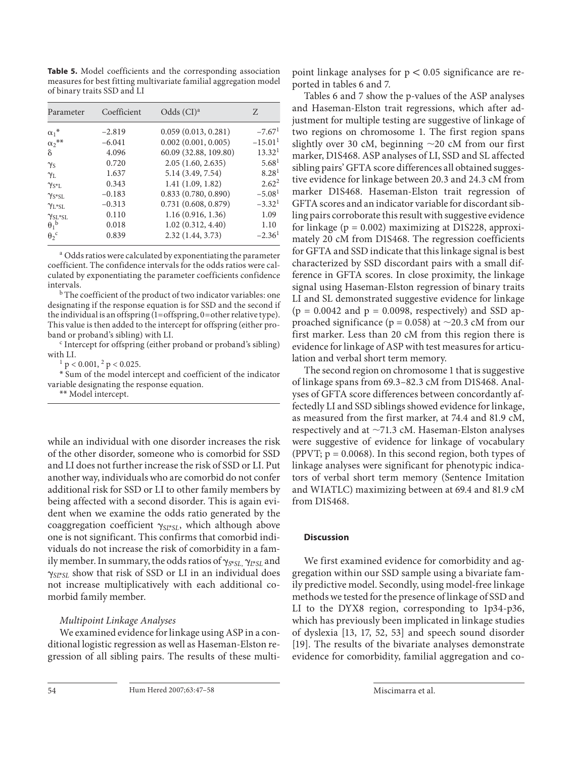**Table 5.** Model coefficients and the corresponding association measures for best fitting multivariate familial aggregation model of binary traits SSD and LI

| Parameter                | Coefficient | Odds $(CI)^a$            | Z                     |
|--------------------------|-------------|--------------------------|-----------------------|
| $\alpha_1^*$             | $-2.819$    | 0.059(0.013, 0.281)      | $-7.67$ <sup>1</sup>  |
| $\alpha_2$ <sup>**</sup> | $-6.041$    | $0.002$ $(0.001, 0.005)$ | $-15.01$ <sup>1</sup> |
| δ                        | 4.096       | 60.09 (32.88, 109.80)    | 13.32 <sup>1</sup>    |
| $\gamma_{\rm S}$         | 0.720       | 2.05(1.60, 2.635)        | 5.68 <sup>1</sup>     |
| $\gamma_{\rm L}$         | 1.637       | 5.14 (3.49, 7.54)        | 8.28 <sup>1</sup>     |
| $\gamma_{S^*L}$          | 0.343       | 1.41(1.09, 1.82)         | $2.62^2$              |
| $\gamma_{S*SL}$          | $-0.183$    | 0.833(0.780, 0.890)      | $-5.081$              |
| $\gamma_{\rm L*SL}$      | $-0.313$    | 0.731(0.608, 0.879)      | $-3.321$              |
| $\gamma_{SL*SL}$         | 0.110       | 1.16(0.916, 1.36)        | 1.09                  |
| $\theta_1^{\ b}$         | 0.018       | 1.02(0.312, 4.40)        | 1.10                  |
| $\theta_2$ <sup>c</sup>  | 0.839       | 2.32(1.44, 3.73)         | $-2.361$              |

<sup>a</sup> Odds ratios were calculated by exponentiating the parameter coefficient. The confidence intervals for the odds ratios were calculated by exponentiating the parameter coefficients confidence intervals.

<sup>b</sup> The coefficient of the product of two indicator variables: one designating if the response equation is for SSD and the second if the individual is an offspring (1=offspring, 0=other relative type). This value is then added to the intercept for offspring (either proband or proband's sibling) with LI.

 $\epsilon$  Intercept for offspring (either proband or proband's sibling) with LI.

 $p < 0.001$ ,  $\frac{2}{p} < 0.025$ .

\* Sum of the model intercept and coefficient of the indicator variable designating the response equation.

\*\* Model intercept.

while an individual with one disorder increases the risk of the other disorder, someone who is comorbid for SSD and LI does not further increase the risk of SSD or LI. Put another way, individuals who are comorbid do not confer additional risk for SSD or LI to other family members by being affected with a second disorder. This is again evident when we examine the odds ratio generated by the coaggregation coefficient  $\gamma_{SI^*SL}$ , which although above one is not significant. This confirms that comorbid individuals do not increase the risk of comorbidity in a family member. In summary, the odds ratios of  $\gamma_{S^*SL}$ ,  $\gamma_{L^*SL}$  and  $\gamma_{\text{S}L^*SL}$  show that risk of SSD or LI in an individual does not increase multiplicatively with each additional comorbid family member.

# *Multipoint Linkage Analyses*

 We examined evidence for linkage using ASP in a conditional logistic regression as well as Haseman-Elston regression of all sibling pairs. The results of these multipoint linkage analyses for  $p < 0.05$  significance are reported in tables 6 and 7.

 Tables 6 and 7 show the p-values of the ASP analyses and Haseman-Elston trait regressions, which after adjustment for multiple testing are suggestive of linkage of two regions on chromosome 1. The first region spans slightly over 30 cM, beginning  $\sim$ 20 cM from our first marker, D1S468. ASP analyses of LI, SSD and SL affected sibling pairs' GFTA score differences all obtained suggestive evidence for linkage between 20.3 and 24.3 cM from marker D1S468. Haseman-Elston trait regression of GFTA scores and an indicator variable for discordant sibling pairs corroborate this result with suggestive evidence for linkage ( $p = 0.002$ ) maximizing at D1S228, approximately 20 cM from D1S468. The regression coefficients for GFTA and SSD indicate that this linkage signal is best characterized by SSD discordant pairs with a small difference in GFTA scores. In close proximity, the linkage signal using Haseman-Elston regression of binary traits LI and SL demonstrated suggestive evidence for linkage  $(p = 0.0042$  and  $p = 0.0098$ , respectively) and SSD approached significance ( $p = 0.058$ ) at  $\sim$ 20.3 cM from our first marker. Less than 20 cM from this region there is evidence for linkage of ASP with test measures for articulation and verbal short term memory.

 The second region on chromosome 1 that is suggestive of linkage spans from 69.3–82.3 cM from D1S468. Analyses of GFTA score differences between concordantly affectedly LI and SSD siblings showed evidence for linkage, as measured from the first marker, at 74.4 and 81.9 cM, respectively and at  $\sim$ 71.3 cM. Haseman-Elston analyses were suggestive of evidence for linkage of vocabulary (PPVT;  $p = 0.0068$ ). In this second region, both types of linkage analyses were significant for phenotypic indicators of verbal short term memory (Sentence Imitation and WIATLC) maximizing between at 69.4 and 81.9 cM from D1S468.

# **Discussion**

 We first examined evidence for comorbidity and aggregation within our SSD sample using a bivariate family predictive model. Secondly, using model-free linkage methods we tested for the presence of linkage of SSD and LI to the DYX8 region, corresponding to 1p34-p36, which has previously been implicated in linkage studies of dyslexia [13, 17, 52, 53] and speech sound disorder [19]. The results of the bivariate analyses demonstrate evidence for comorbidity, familial aggregation and co-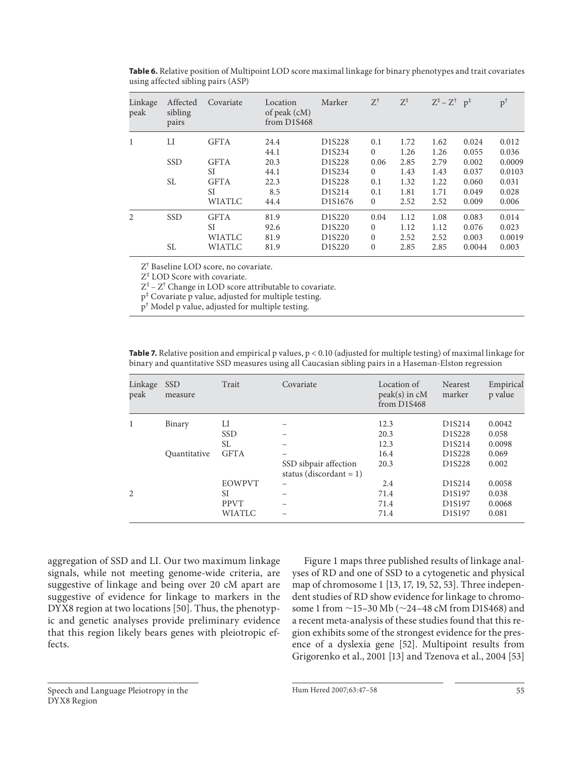| Linkage<br>peak | Affected<br>sibling<br>pairs | Covariate     | Location<br>of peak (cM)<br>from $D1S468$ | Marker                          | $Z^\dagger$  | $Z^{\ddagger}$ | $Z^{\ddagger}$ – $Z^{\dagger}$ p <sup><math>\ddagger</math></sup> |        | $p^{\dagger}$ |
|-----------------|------------------------------|---------------|-------------------------------------------|---------------------------------|--------------|----------------|-------------------------------------------------------------------|--------|---------------|
| $\mathbf{1}$    | LI                           | <b>GFTA</b>   | 24.4                                      | D1S228                          | 0.1          | 1.72           | 1.62                                                              | 0.024  | 0.012         |
|                 |                              |               | 44.1                                      | D1S234                          | $\mathbf{0}$ | 1.26           | 1.26                                                              | 0.055  | 0.036         |
|                 | <b>SSD</b>                   | <b>GFTA</b>   | 20.3                                      | D <sub>1</sub> S <sub>228</sub> | 0.06         | 2.85           | 2.79                                                              | 0.002  | 0.0009        |
|                 |                              | <b>SI</b>     | 44.1                                      | D1S234                          | $\Omega$     | 1.43           | 1.43                                                              | 0.037  | 0.0103        |
|                 | SL                           | <b>GFTA</b>   | 22.3                                      | D1S228                          | 0.1          | 1.32           | 1.22                                                              | 0.060  | 0.031         |
|                 |                              | <b>SI</b>     | 8.5                                       | D1S214                          | 0.1          | 1.81           | 1.71                                                              | 0.049  | 0.028         |
|                 |                              | <b>WIATLC</b> | 44.4                                      | D1S1676                         | $\mathbf{0}$ | 2.52           | 2.52                                                              | 0.009  | 0.006         |
| 2               | <b>SSD</b>                   | <b>GFTA</b>   | 81.9                                      | D1S220                          | 0.04         | 1.12           | 1.08                                                              | 0.083  | 0.014         |
|                 |                              | <b>SI</b>     | 92.6                                      | D <sub>1</sub> S <sub>220</sub> | $\mathbf{0}$ | 1.12           | 1.12                                                              | 0.076  | 0.023         |
|                 |                              | <b>WIATLC</b> | 81.9                                      | D1S220                          | $\mathbf{0}$ | 2.52           | 2.52                                                              | 0.003  | 0.0019        |
|                 | SL.                          | <b>WIATLC</b> | 81.9                                      | D1S220                          | $\mathbf{0}$ | 2.85           | 2.85                                                              | 0.0044 | 0.003         |

**Table 6.** Relative position of Multipoint LOD score maximal linkage for binary phenotypes and trait covariates using affected sibling pairs (ASP)

Z† Baseline LOD score, no covariate.

Z‡ LOD Score with covariate.

 $Z^{\ddagger}$  –  $Z^{\dagger}$  Change in LOD score attributable to covariate.

p‡ Covariate p value, adjusted for multiple testing.

p† Model p value, adjusted for multiple testing.

**Table 7.** Relative position and empirical p values, p < 0.10 (adjusted for multiple testing) of maximal linkage for binary and quantitative SSD measures using all Caucasian sibling pairs in a Haseman-Elston regression

| Linkage<br>peak | <b>SSD</b><br>measure | Trait         | Covariate                                           | Location of<br>$peak(s)$ in $cM$<br>from D1S468 | Nearest<br>marker               | Empirical<br>p value |
|-----------------|-----------------------|---------------|-----------------------------------------------------|-------------------------------------------------|---------------------------------|----------------------|
| 1               | Binary                | LI            |                                                     | 12.3                                            | D1S214                          | 0.0042               |
|                 |                       | <b>SSD</b>    |                                                     | 20.3                                            | D <sub>1</sub> S <sub>228</sub> | 0.058                |
|                 |                       | SL            |                                                     | 12.3                                            | D1S214                          | 0.0098               |
|                 | Quantitative          | <b>GFTA</b>   |                                                     | 16.4                                            | D <sub>1</sub> S <sub>228</sub> | 0.069                |
|                 |                       |               | SSD sibpair affection<br>status (discordant = $1$ ) | 20.3                                            | D1S228                          | 0.002                |
|                 |                       | <b>EOWPVT</b> | $\overline{\phantom{0}}$                            | 2.4                                             | D1S214                          | 0.0058               |
| 2               |                       | <b>SI</b>     |                                                     | 71.4                                            | D <sub>1</sub> S <sub>197</sub> | 0.038                |
|                 |                       | <b>PPVT</b>   |                                                     | 71.4                                            | D <sub>1</sub> S <sub>197</sub> | 0.0068               |
|                 |                       | WIATLC        |                                                     | 71.4                                            | D <sub>1</sub> S <sub>197</sub> | 0.081                |

aggregation of SSD and LI. Our two maximum linkage signals, while not meeting genome-wide criteria, are suggestive of linkage and being over 20 cM apart are suggestive of evidence for linkage to markers in the DYX8 region at two locations [50]. Thus, the phenotypic and genetic analyses provide preliminary evidence that this region likely bears genes with pleiotropic effects.

 Figure 1 maps three published results of linkage analyses of RD and one of SSD to a cytogenetic and physical map of chromosome 1 [13, 17, 19, 52, 53] . Three independent studies of RD show evidence for linkage to chromosome 1 from  $\sim$ 15–30 Mb ( $\sim$ 24–48 cM from D1S468) and a recent meta-analysis of these studies found that this region exhibits some of the strongest evidence for the presence of a dyslexia gene [52]. Multipoint results from Grigorenko et al., 2001 [13] and Tzenova et al., 2004 [53]

 Speech and Language Pleiotropy in the DYX8 Region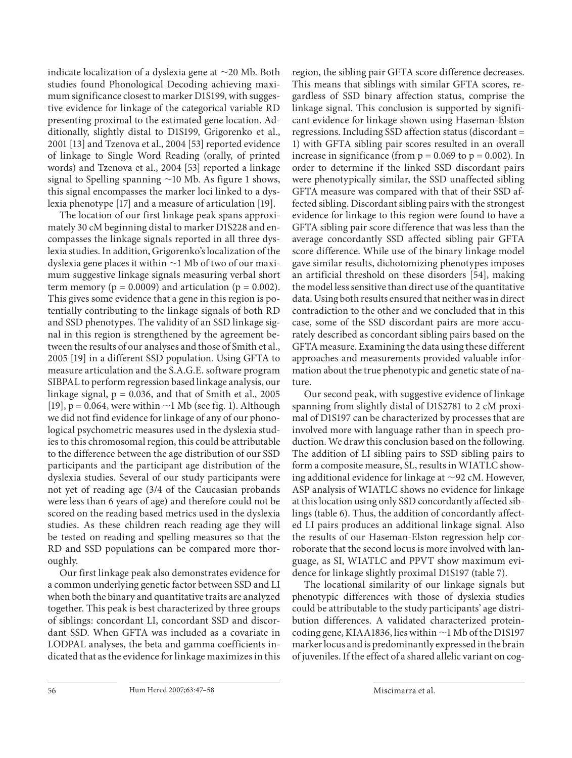indicate localization of a dyslexia gene at  $\sim$ 20 Mb. Both studies found Phonological Decoding achieving maximum significance closest to marker D1S199, with suggestive evidence for linkage of the categorical variable RD presenting proximal to the estimated gene location. Additionally, slightly distal to D1S199, Grigorenko et al., 2001 [13] and Tzenova et al., 2004 [53] reported evidence of linkage to Single Word Reading (orally, of printed words) and Tzenova et al., 2004 [53] reported a linkage signal to Spelling spanning  $\sim$  10 Mb. As figure 1 shows, this signal encompasses the marker loci linked to a dyslexia phenotype [17] and a measure of articulation [19] .

 The location of our first linkage peak spans approximately 30 cM beginning distal to marker D1S228 and encompasses the linkage signals reported in all three dyslexia studies. In addition, Grigorenko's localization of the dyslexia gene places it within  $\sim$ 1 Mb of two of our maximum suggestive linkage signals measuring verbal short term memory ( $p = 0.0009$ ) and articulation ( $p = 0.002$ ). This gives some evidence that a gene in this region is potentially contributing to the linkage signals of both RD and SSD phenotypes. The validity of an SSD linkage signal in this region is strengthened by the agreement between the results of our analyses and those of Smith et al., 2005 [19] in a different SSD population. Using GFTA to measure articulation and the S.A.G.E. software program SIBPAL to perform regression based linkage analysis, our linkage signal,  $p = 0.036$ , and that of Smith et al., 2005 [19],  $p = 0.064$ , were within  $\sim$ 1 Mb (see fig. 1). Although we did not find evidence for linkage of any of our phonological psychometric measures used in the dyslexia studies to this chromosomal region, this could be attributable to the difference between the age distribution of our SSD participants and the participant age distribution of the dyslexia studies. Several of our study participants were not yet of reading age (3/4 of the Caucasian probands were less than 6 years of age) and therefore could not be scored on the reading based metrics used in the dyslexia studies. As these children reach reading age they will be tested on reading and spelling measures so that the RD and SSD populations can be compared more thoroughly.

 Our first linkage peak also demonstrates evidence for a common underlying genetic factor between SSD and LI when both the binary and quantitative traits are analyzed together. This peak is best characterized by three groups of siblings: concordant LI, concordant SSD and discordant SSD. When GFTA was included as a covariate in LODPAL analyses, the beta and gamma coefficients indicated that as the evidence for linkage maximizes in this region, the sibling pair GFTA score difference decreases. This means that siblings with similar GFTA scores, regardless of SSD binary affection status, comprise the linkage signal. This conclusion is supported by significant evidence for linkage shown using Haseman-Elston regressions. Including SSD affection status (discordant = 1) with GFTA sibling pair scores resulted in an overall increase in significance (from  $p = 0.069$  to  $p = 0.002$ ). In order to determine if the linked SSD discordant pairs were phenotypically similar, the SSD unaffected sibling GFTA measure was compared with that of their SSD affected sibling. Discordant sibling pairs with the strongest evidence for linkage to this region were found to have a GFTA sibling pair score difference that was less than the average concordantly SSD affected sibling pair GFTA score difference. While use of the binary linkage model gave similar results, dichotomizing phenotypes imposes an artificial threshold on these disorders [54], making the model less sensitive than direct use of the quantitative data. Using both results ensured that neither was in direct contradiction to the other and we concluded that in this case, some of the SSD discordant pairs are more accurately described as concordant sibling pairs based on the GFTA measure. Examining the data using these different approaches and measurements provided valuable information about the true phenotypic and genetic state of nature.

 Our second peak, with suggestive evidence of linkage spanning from slightly distal of D1S2781 to 2 cM proximal of D1S197 can be characterized by processes that are involved more with language rather than in speech production. We draw this conclusion based on the following. The addition of LI sibling pairs to SSD sibling pairs to form a composite measure, SL, results in WIATLC showing additional evidence for linkage at  $\sim$ 92 cM. However, ASP analysis of WIATLC shows no evidence for linkage at this location using only SSD concordantly affected siblings (table 6). Thus, the addition of concordantly affected LI pairs produces an additional linkage signal. Also the results of our Haseman-Elston regression help corroborate that the second locus is more involved with language, as SI, WIATLC and PPVT show maximum evidence for linkage slightly proximal D1S197 (table 7).

 The locational similarity of our linkage signals but phenotypic differences with those of dyslexia studies could be attributable to the study participants' age distribution differences. A validated characterized proteincoding gene, KIAA1836, lies within  $\sim$ 1 Mb of the D1S197 marker locus and is predominantly expressed in the brain of juveniles. If the effect of a shared allelic variant on cog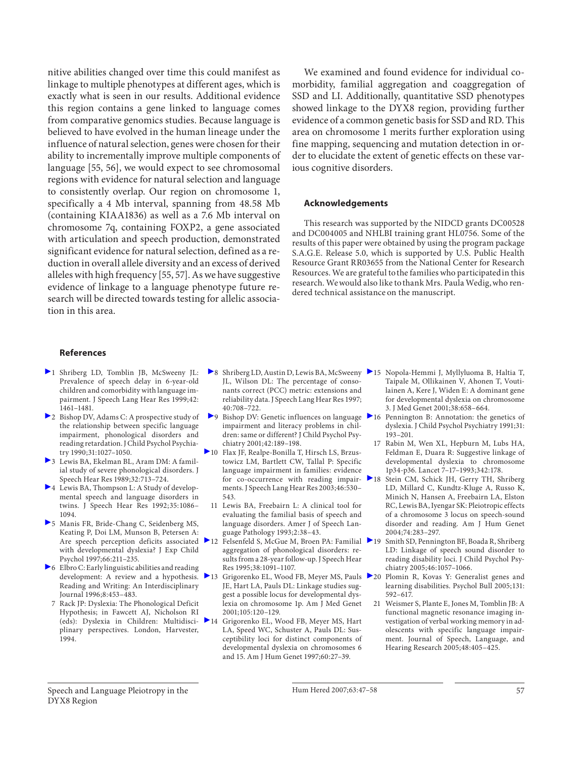nitive abilities changed over time this could manifest as linkage to multiple phenotypes at different ages, which is exactly what is seen in our results. Additional evidence this region contains a gene linked to language comes from comparative genomics studies. Because language is believed to have evolved in the human lineage under the influence of natural selection, genes were chosen for their ability to incrementally improve multiple components of language [55, 56], we would expect to see chromosomal regions with evidence for natural selection and language to consistently overlap. Our region on chromosome 1, specifically a 4 Mb interval, spanning from 48.58 Mb (containing KIAA1836) as well as a 7.6 Mb interval on chromosome 7q, containing FOXP2, a gene associated with articulation and speech production, demonstrated significant evidence for natural selection, defined as a reduction in overall allele diversity and an excess of derived alleles with high frequency [55, 57] . As we have suggestive evidence of linkage to a language phenotype future research will be directed towards testing for allelic association in this area.

 We examined and found evidence for individual comorbidity, familial aggregation and coaggregation of SSD and LI. Additionally, quantitative SSD phenotypes showed linkage to the DYX8 region, providing further evidence of a common genetic basis for SSD and RD. This area on chromosome 1 merits further exploration using fine mapping, sequencing and mutation detection in order to elucidate the extent of genetic effects on these various cognitive disorders.

#### **Acknowledgements**

 This research was supported by the NIDCD grants DC00528 and DC004005 and NHLBI training grant HL0756. Some of the results of this paper were obtained by using the program package S.A.G.E. Release 5.0, which is supported by U.S. Public Health Resource Grant RR03655 from the National Center for Research Resources. We are grateful to the families who participated in this research. We would also like to thank Mrs. Paula Wedig, who rendered technical assistance on the manuscript.

#### **References**

- 1 Shriberg LD, Tomblin JB, McSweeny JL: Prevalence of speech delay in 6-year-old children and comorbidity with language impairment. J Speech Lang Hear Res 1999;42: 1461–1481.
- 2 Bishop DV, Adams C: A prospective study of the relationship between specific language impairment, phonological disorders and reading retardation. J Child Psychol Psychiatry 1990; 31: 1027–1050.
- 3 Lewis BA, Ekelman BL, Aram DM: A familial study of severe phonological disorders. J Speech Hear Res 1989;32:713-724.
- 4 Lewis BA, Thompson L: A Study of developmental speech and language disorders in twins. J Speech Hear Res 1992; 35: 1086– 1094.
- 5 Manis FR, Bride-Chang C, Seidenberg MS, Keating P, Doi LM, Munson B, Petersen A: with developmental dyslexia? J Exp Child Psychol 1997;66:211-235.
- 6 Elbro C: Early linguistic abilities and reading development: A review and a hypothesis. 213 Reading and Writing: An Interdisciplinary Journal 1996;8:453-483.
	- 7 Rack JP: Dyslexia: The Phonological Deficit Hypothesis; in Fawcett AJ, Nicholson RI (eds): Dyslexia in Children: Multidisciplinary perspectives. London, Harvester, 1994.
- 8 Shriberg LD, Austin D, Lewis BA, McSweeny 15 Nopola-Hemmi J, Myllyluoma B, Haltia T, JL, Wilson DL: The percentage of consonants correct (PCC) metric: extensions and reliability data. J Speech Lang Hear Res 1997; 40: 708–722.
- $\triangleright$  9 Bishop DV: Genetic influences on language  $\triangleright$  16 impairment and literacy problems in children: same or different? J Child Psychol Psychiatry 2001; 42: 189–198.
- 10 Flax JF, Realpe-Bonilla T, Hirsch LS, Brzustowicz LM, Bartlett CW, Tallal P: Specific language impairment in families: evidence for co-occurrence with reading impair-  $\blacktriangleright$  18 ments. J Speech Lang Hear Res 2003;46:530-543.
- 11 Lewis BA, Freebairn L: A clinical tool for evaluating the familial basis of speech and language disorders. Amer J of Speech Language Pathology 1993;2:38-43.
- Are speech perception deficits associated 12 Felsenfeld S, McGue M, Broen PA: Familial aggregation of phonological disorders: results from a 28-year follow-up. J Speech Hear Res 1995; 38: 1091–1107.
	- 13 Grigorenko EL, Wood FB, Meyer MS, Pauls 20 Plomin R, Kovas Y: Generalist genes and JE, Hart LA, Pauls DL: Linkage studies suggest a possible locus for developmental dyslexia on chromosome 1p. Am J Med Genet 2001; 105: 120–129.
	- 14 Grigorenko EL, Wood FB, Meyer MS, Hart LA, Speed WC, Schuster A, Pauls DL: Susceptibility loci for distinct components of developmental dyslexia on chromosomes 6 and 15. Am J Hum Genet 1997;60:27-39.
- Taipale M, Ollikainen V, Ahonen T, Voutilainen A, Kere J, Widen E: A dominant gene for developmental dyslexia on chromosome 3. J Med Genet 2001; 38: 658–664.
- Pennington B: Annotation: the genetics of dyslexia. J Child Psychol Psychiatry 1991;31: 193–201.
- 17 Rabin M, Wen XL, Hepburn M, Lubs HA, Feldman E, Duara R: Suggestive linkage of developmental dyslexia to chromosome 1p34-p36. Lancet 7–17–1993; 342: 178.
- Stein CM, Schick JH, Gerry TH, Shriberg LD, Millard C, Kundtz-Kluge A, Russo K, Minich N, Hansen A, Freebairn LA, Elston RC, Lewis BA, Iyengar SK: Pleiotropic effects of a chromosome 3 locus on speech-sound disorder and reading. Am J Hum Genet 2004; 74: 283–297.
- 19 Smith SD, Pennington BF, Boada R, Shriberg LD: Linkage of speech sound disorder to reading disability loci. J Child Psychol Psychiatry 2005; 46: 1057–1066.
- learning disabilities. Psychol Bull 2005; 131: 592–617.
- 21 Weismer S, Plante E, Jones M, Tomblin JB: A functional magnetic resonance imaging investigation of verbal working memory in adolescents with specific language impairment. Journal of Speech, Language, and Hearing Research 2005;48:405-425.